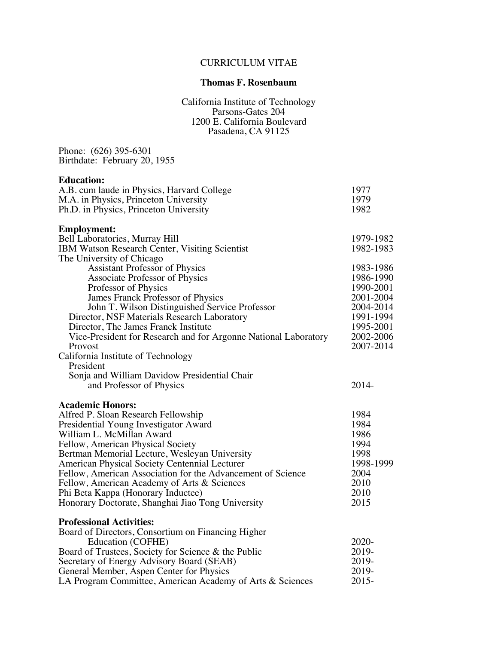# CURRICULUM VITAE

## **Thomas F. Rosenbaum**

California Institute of Technology Parsons-Gates 204 1200 E. California Boulevard Pasadena, CA 91125

Phone: (626) 395-6301 Birthdate: February 20, 1955

## **Education:**

| A.B. cum laude in Physics, Harvard College                      | 1977      |
|-----------------------------------------------------------------|-----------|
| M.A. in Physics, Princeton University                           | 1979      |
| Ph.D. in Physics, Princeton University                          | 1982      |
| <b>Employment:</b>                                              |           |
| Bell Laboratories, Murray Hill                                  | 1979-1982 |
| IBM Watson Research Center, Visiting Scientist                  | 1982-1983 |
| The University of Chicago                                       |           |
| <b>Assistant Professor of Physics</b>                           | 1983-1986 |
| Associate Professor of Physics                                  | 1986-1990 |
| Professor of Physics                                            | 1990-2001 |
| James Franck Professor of Physics                               | 2001-2004 |
| John T. Wilson Distinguished Service Professor                  | 2004-2014 |
| Director, NSF Materials Research Laboratory                     | 1991-1994 |
| Director, The James Franck Institute                            | 1995-2001 |
| Vice-President for Research and for Argonne National Laboratory | 2002-2006 |
| Provost                                                         | 2007-2014 |
|                                                                 |           |
| California Institute of Technology<br>President                 |           |
| Sonja and William Davidow Presidential Chair                    |           |
| and Professor of Physics                                        | 2014-     |
|                                                                 |           |
| <b>Academic Honors:</b>                                         |           |
| Alfred P. Sloan Research Fellowship                             | 1984      |
| Presidential Young Investigator Award                           | 1984      |
| William L. McMillan Award                                       | 1986      |
| Fellow, American Physical Society                               | 1994      |
| Bertman Memorial Lecture, Wesleyan University                   | 1998      |
| American Physical Society Centennial Lecturer                   | 1998-1999 |
| Fellow, American Association for the Advancement of Science     | 2004      |
| Fellow, American Academy of Arts & Sciences                     | 2010      |
| Phi Beta Kappa (Honorary Inductee)                              | 2010      |
| Honorary Doctorate, Shanghai Jiao Tong University               | 2015      |
| <b>Professional Activities:</b>                                 |           |
| Board of Directors, Consortium on Financing Higher              |           |
| Education (COFHE)                                               | 2020-     |
| Board of Trustees, Society for Science & the Public             | 2019-     |
| Secretary of Energy Advisory Board (SEAB)                       | 2019-     |
| General Member, Aspen Center for Physics                        | 2019-     |
| LA Program Committee, American Academy of Arts & Sciences       | $2015 -$  |
|                                                                 |           |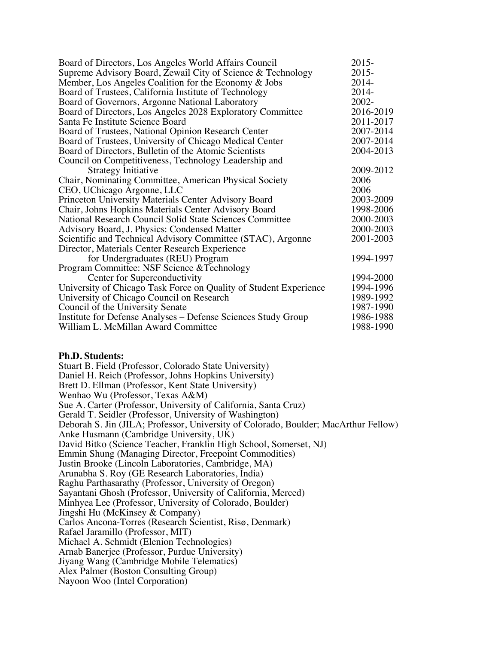| Board of Directors, Los Angeles World Affairs Council             | $2015 -$  |
|-------------------------------------------------------------------|-----------|
| Supreme Advisory Board, Zewail City of Science & Technology       | $2015 -$  |
| Member, Los Angeles Coalition for the Economy & Jobs              | $2014-$   |
| Board of Trustees, California Institute of Technology             | $2014-$   |
| Board of Governors, Argonne National Laboratory                   | $2002 -$  |
| Board of Directors, Los Angeles 2028 Exploratory Committee        | 2016-2019 |
| Santa Fe Institute Science Board                                  | 2011-2017 |
| Board of Trustees, National Opinion Research Center               | 2007-2014 |
| Board of Trustees, University of Chicago Medical Center           | 2007-2014 |
| Board of Directors, Bulletin of the Atomic Scientists             | 2004-2013 |
| Council on Competitiveness, Technology Leadership and             |           |
| <b>Strategy Initiative</b>                                        | 2009-2012 |
| Chair, Nominating Committee, American Physical Society            | 2006      |
| CEO, UChicago Argonne, LLC                                        | 2006      |
| Princeton University Materials Center Advisory Board              | 2003-2009 |
| Chair, Johns Hopkins Materials Center Advisory Board              | 1998-2006 |
| National Research Council Solid State Sciences Committee          | 2000-2003 |
| Advisory Board, J. Physics: Condensed Matter                      | 2000-2003 |
| Scientific and Technical Advisory Committee (STAC), Argonne       | 2001-2003 |
| Director, Materials Center Research Experience                    |           |
| for Undergraduates (REU) Program                                  | 1994-1997 |
| Program Committee: NSF Science & Technology                       |           |
| Center for Superconductivity                                      | 1994-2000 |
| University of Chicago Task Force on Quality of Student Experience | 1994-1996 |
| University of Chicago Council on Research                         | 1989-1992 |
| Council of the University Senate                                  | 1987-1990 |
| Institute for Defense Analyses – Defense Sciences Study Group     | 1986-1988 |
| William L. McMillan Award Committee                               | 1988-1990 |

#### **Ph.D. Students:**

Stuart B. Field (Professor, Colorado State University) Daniel H. Reich (Professor, Johns Hopkins University) Brett D. Ellman (Professor, Kent State University) Wenhao Wu (Professor, Texas A&M) Sue A. Carter (Professor, University of California, Santa Cruz) Gerald T. Seidler (Professor, University of Washington) Deborah S. Jin (JILA; Professor, University of Colorado, Boulder; MacArthur Fellow) Anke Husmann (Cambridge University, UK) David Bitko (Science Teacher, Franklin High School, Somerset, NJ) Emmin Shung (Managing Director, Freepoint Commodities) Justin Brooke (Lincoln Laboratories, Cambridge, MA) Arunabha S. Roy (GE Research Laboratories, India) Raghu Parthasarathy (Professor, University of Oregon) Sayantani Ghosh (Professor, University of California, Merced) Minhyea Lee (Professor, University of Colorado, Boulder) Jingshi Hu (McKinsey & Company) Carlos Ancona-Torres (Research Scientist, Risø, Denmark) Rafael Jaramillo (Professor, MIT) Michael A. Schmidt (Elenion Technologies) Arnab Banerjee (Professor, Purdue University) Jiyang Wang (Cambridge Mobile Telematics) Alex Palmer (Boston Consulting Group) Nayoon Woo (Intel Corporation)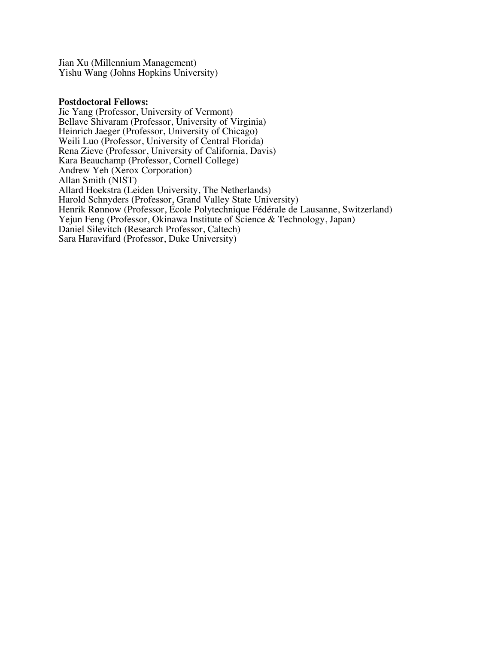Jian Xu (Millennium Management) Yishu Wang (Johns Hopkins University)

#### **Postdoctoral Fellows:**

Jie Yang (Professor, University of Vermont) Bellave Shivaram (Professor, University of Virginia) Heinrich Jaeger (Professor, University of Chicago) Weili Luo (Professor, University of Central Florida) Rena Zieve (Professor, University of California, Davis) Kara Beauchamp (Professor, Cornell College) Andrew Yeh (Xerox Corporation) Allan Smith (NIST) Allard Hoekstra (Leiden University, The Netherlands) Harold Schnyders (Professor, Grand Valley State University) Henrik Rønnow (Professor, École Polytechnique Fédérale de Lausanne, Switzerland) Yejun Feng (Professor, Okinawa Institute of Science & Technology, Japan) Daniel Silevitch (Research Professor, Caltech) Sara Haravifard (Professor, Duke University)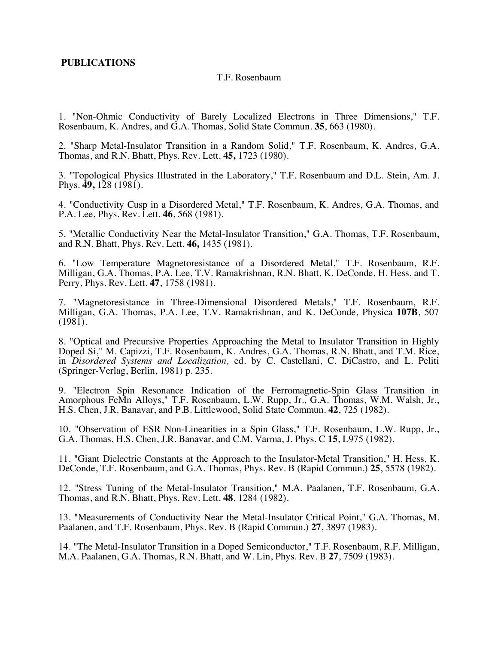## **PUBLICATIONS**

#### T.F. Rosenbaum

1. "Non-Ohmic Conductivity of Barely Localized Electrons in Three Dimensions," T.F. Rosenbaum, K. Andres, and G.A. Thomas, Solid State Commun. **35**, 663 (1980).

2. "Sharp Metal-Insulator Transition in a Random Solid," T.F. Rosenbaum, K. Andres, G.A. Thomas, and R.N. Bhatt, Phys. Rev. Lett. **45,** 1723 (1980).

3. "Topological Physics Illustrated in the Laboratory," T.F. Rosenbaum and D.L. Stein, Am. J. Phys. **49,** 128 (1981).

4. "Conductivity Cusp in a Disordered Metal," T.F. Rosenbaum, K. Andres, G.A. Thomas, and P.A. Lee, Phys. Rev. Lett. **46**, 568 (1981).

5. "Metallic Conductivity Near the Metal-Insulator Transition," G.A. Thomas, T.F. Rosenbaum, and R.N. Bhatt, Phys. Rev. Lett. **46,** 1435 (1981).

6. "Low Temperature Magnetoresistance of a Disordered Metal," T.F. Rosenbaum, R.F. Milligan, G.A. Thomas, P.A. Lee, T.V. Ramakrishnan, R.N. Bhatt, K. DeConde, H. Hess, and T. Perry, Phys. Rev. Lett. **47**, 1758 (1981).

7. "Magnetoresistance in Three-Dimensional Disordered Metals," T.F. Rosenbaum, R.F. Milligan, G.A. Thomas, P.A. Lee, T.V. Ramakrishnan, and K. DeConde, Physica **107B**, 507  $(1981)$ .

8. "Optical and Precursive Properties Approaching the Metal to Insulator Transition in Highly Doped Si," M. Capizzi, T.F. Rosenbaum, K. Andres, G.A. Thomas, R.N. Bhatt, and T.M. Rice, in *Disordered Systems and Localization,* ed. by C. Castellani, C. DiCastro, and L. Peliti (Springer-Verlag, Berlin, 1981) p. 235.

9. "Electron Spin Resonance Indication of the Ferromagnetic-Spin Glass Transition in Amorphous FeMn Alloys," T.F. Rosenbaum, L.W. Rupp, Jr., G.A. Thomas, W.M. Walsh, Jr., H.S. Chen, J.R. Banavar, and P.B. Littlewood, Solid State Commun. **42**, 725 (1982).

10. "Observation of ESR Non-Linearities in a Spin Glass," T.F. Rosenbaum, L.W. Rupp, Jr., G.A. Thomas, H.S. Chen, J.R. Banavar, and C.M. Varma, J. Phys. C **15**, L975 (1982).

11. "Giant Dielectric Constants at the Approach to the Insulator-Metal Transition," H. Hess, K. DeConde, T.F. Rosenbaum, and G.A. Thomas, Phys. Rev. B (Rapid Commun.) **25**, 5578 (1982).

12. "Stress Tuning of the Metal-Insulator Transition," M.A. Paalanen, T.F. Rosenbaum, G.A. Thomas, and R.N. Bhatt, Phys. Rev. Lett. **48**, 1284 (1982).

13. "Measurements of Conductivity Near the Metal-Insulator Critical Point," G.A. Thomas, M. Paalanen, and T.F. Rosenbaum, Phys. Rev. B (Rapid Commun.) **27**, 3897 (1983).

14. "The Metal-Insulator Transition in a Doped Semiconductor," T.F. Rosenbaum, R.F. Milligan, M.A. Paalanen, G.A. Thomas, R.N. Bhatt, and W. Lin, Phys. Rev. B **27**, 7509 (1983).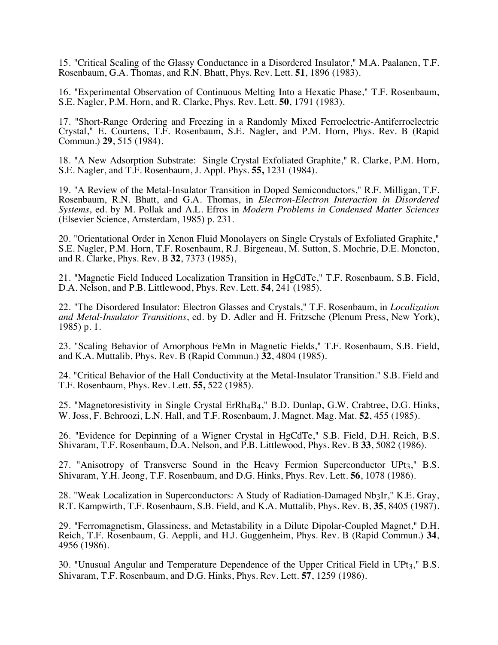15. "Critical Scaling of the Glassy Conductance in a Disordered Insulator," M.A. Paalanen, T.F. Rosenbaum, G.A. Thomas, and R.N. Bhatt, Phys. Rev. Lett. **51**, 1896 (1983).

16. "Experimental Observation of Continuous Melting Into a Hexatic Phase," T.F. Rosenbaum, S.E. Nagler, P.M. Horn, and R. Clarke, Phys. Rev. Lett. **50**, 1791 (1983).

17. "Short-Range Ordering and Freezing in a Randomly Mixed Ferroelectric-Antiferroelectric Crystal," E. Courtens, T.F. Rosenbaum, S.E. Nagler, and P.M. Horn, Phys. Rev. B (Rapid Commun.) **29**, 515 (1984).

18. "A New Adsorption Substrate: Single Crystal Exfoliated Graphite," R. Clarke, P.M. Horn, S.E. Nagler, and T.F. Rosenbaum, J. Appl. Phys. **55,** 1231 (1984).

19. "A Review of the Metal-Insulator Transition in Doped Semiconductors," R.F. Milligan, T.F. Rosenbaum, R.N. Bhatt, and G.A. Thomas, in *Electron-Electron Interaction in Disordered Systems*, ed. by M. Pollak and A.L. Efros in *Modern Problems in Condensed Matter Sciences* (Elsevier Science, Amsterdam, 1985) p. 231.

20. "Orientational Order in Xenon Fluid Monolayers on Single Crystals of Exfoliated Graphite," S.E. Nagler, P.M. Horn, T.F. Rosenbaum, R.J. Birgeneau, M. Sutton, S. Mochrie, D.E. Moncton, and R. Clarke, Phys. Rev. B **32**, 7373 (1985),

21. "Magnetic Field Induced Localization Transition in HgCdTe," T.F. Rosenbaum, S.B. Field, D.A. Nelson, and P.B. Littlewood, Phys. Rev. Lett. **54**, 241 (1985).

22. "The Disordered Insulator: Electron Glasses and Crystals," T.F. Rosenbaum, in *Localization and Metal-Insulator Transitions*, ed. by D. Adler and H. Fritzsche (Plenum Press, New York), 1985) p. 1.

23. "Scaling Behavior of Amorphous FeMn in Magnetic Fields," T.F. Rosenbaum, S.B. Field, and K.A. Muttalib, Phys. Rev. B (Rapid Commun.) **32**, 4804 (1985).

24. "Critical Behavior of the Hall Conductivity at the Metal-Insulator Transition." S.B. Field and T.F. Rosenbaum, Phys. Rev. Lett. **55,** 522 (1985).

25. "Magnetoresistivity in Single Crystal ErRh4B4," B.D. Dunlap, G.W. Crabtree, D.G. Hinks, W. Joss, F. Behroozi, L.N. Hall, and T.F. Rosenbaum, J. Magnet. Mag. Mat. **52**, 455 (1985).

26. "Evidence for Depinning of a Wigner Crystal in HgCdTe," S.B. Field, D.H. Reich, B.S. Shivaram, T.F. Rosenbaum, D.A. Nelson, and P.B. Littlewood, Phys. Rev. B **33**, 5082 (1986).

27. "Anisotropy of Transverse Sound in the Heavy Fermion Superconductor UPt3," B.S. Shivaram, Y.H. Jeong, T.F. Rosenbaum, and D.G. Hinks, Phys. Rev. Lett. **56**, 1078 (1986).

28. "Weak Localization in Superconductors: A Study of Radiation-Damaged Nb3Ir," K.E. Gray, R.T. Kampwirth, T.F. Rosenbaum, S.B. Field, and K.A. Muttalib, Phys. Rev. B, **35**, 8405 (1987).

29. "Ferromagnetism, Glassiness, and Metastability in a Dilute Dipolar-Coupled Magnet," D.H. Reich, T.F. Rosenbaum, G. Aeppli, and H.J. Guggenheim, Phys. Rev. B (Rapid Commun.) **34**, 4956 (1986).

30. "Unusual Angular and Temperature Dependence of the Upper Critical Field in UPt3," B.S. Shivaram, T.F. Rosenbaum, and D.G. Hinks, Phys. Rev. Lett. **57**, 1259 (1986).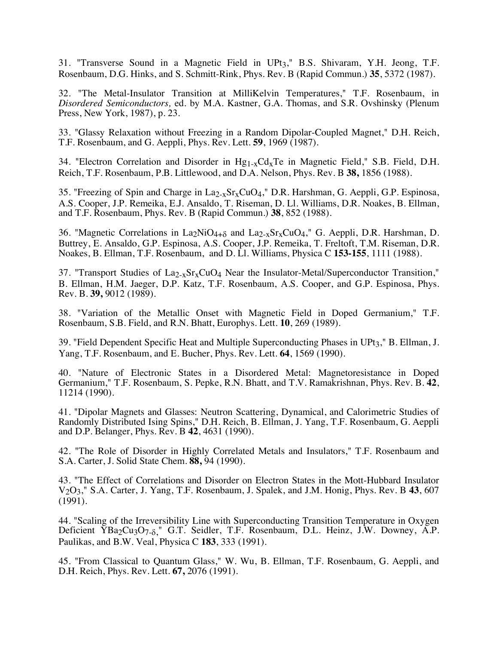31. "Transverse Sound in a Magnetic Field in UPt3," B.S. Shivaram, Y.H. Jeong, T.F. Rosenbaum, D.G. Hinks, and S. Schmitt-Rink, Phys. Rev. B (Rapid Commun.) **35**, 5372 (1987).

32. "The Metal-Insulator Transition at MilliKelvin Temperatures," T.F. Rosenbaum, in *Disordered Semiconductors,* ed. by M.A. Kastner, G.A. Thomas, and S.R. Ovshinsky (Plenum Press, New York, 1987), p. 23.

33. "Glassy Relaxation without Freezing in a Random Dipolar-Coupled Magnet," D.H. Reich, T.F. Rosenbaum, and G. Aeppli, Phys. Rev. Lett. **59**, 1969 (1987).

34. "Electron Correlation and Disorder in  $Hg_{1-x}Cd_xTe$  in Magnetic Field," S.B. Field, D.H. Reich, T.F. Rosenbaum, P.B. Littlewood, and D.A. Nelson, Phys. Rev. B **38,** 1856 (1988).

35. "Freezing of Spin and Charge in La2-xSrxCuO4," D.R. Harshman, G. Aeppli, G.P. Espinosa, A.S. Cooper, J.P. Remeika, E.J. Ansaldo, T. Riseman, D. Ll. Williams, D.R. Noakes, B. Ellman, and T.F. Rosenbaum, Phys. Rev. B (Rapid Commun.) **38**, 852 (1988).

36. "Magnetic Correlations in La<sub>2</sub>NiO<sub>4+ $\delta$ </sub> and La<sub>2-x</sub>Sr<sub>x</sub>CuO<sub>4</sub>," G. Aeppli, D.R. Harshman, D. Buttrey, E. Ansaldo, G.P. Espinosa, A.S. Cooper, J.P. Remeika, T. Freltoft, T.M. Riseman, D.R. Noakes, B. Ellman, T.F. Rosenbaum, and D. Ll. Williams, Physica C **153-155**, 1111 (1988).

37. "Transport Studies of  $\text{La}_{2-x}\text{Sr}_{x}\text{CuO}_{4}$  Near the Insulator-Metal/Superconductor Transition," B. Ellman, H.M. Jaeger, D.P. Katz, T.F. Rosenbaum, A.S. Cooper, and G.P. Espinosa, Phys. Rev. B. **39,** 9012 (1989).

38. "Variation of the Metallic Onset with Magnetic Field in Doped Germanium," T.F. Rosenbaum, S.B. Field, and R.N. Bhatt, Europhys. Lett. **10**, 269 (1989).

39. "Field Dependent Specific Heat and Multiple Superconducting Phases in UPt3," B. Ellman, J. Yang, T.F. Rosenbaum, and E. Bucher, Phys. Rev. Lett. **64**, 1569 (1990).

40. "Nature of Electronic States in a Disordered Metal: Magnetoresistance in Doped Germanium," T.F. Rosenbaum, S. Pepke, R.N. Bhatt, and T.V. Ramakrishnan, Phys. Rev. B. **42**, 11214 (1990).

41. "Dipolar Magnets and Glasses: Neutron Scattering, Dynamical, and Calorimetric Studies of Randomly Distributed Ising Spins," D.H. Reich, B. Ellman, J. Yang, T.F. Rosenbaum, G. Aeppli and D.P. Belanger, Phys. Rev. B **42**, 4631 (1990).

42. "The Role of Disorder in Highly Correlated Metals and Insulators," T.F. Rosenbaum and S.A. Carter, J. Solid State Chem. **88,** 94 (1990).

43. "The Effect of Correlations and Disorder on Electron States in the Mott-Hubbard Insulator V2O3," S.A. Carter, J. Yang, T.F. Rosenbaum, J. Spalek, and J.M. Honig, Phys. Rev. B **43**, 607 (1991).

44. "Scaling of the Irreversibility Line with Superconducting Transition Temperature in Oxygen Deficient  $YBa_2Cu_3O_{7-\delta}$ ," G.T. Seidler, T.F. Rosenbaum, D.L. Heinz, J.W. Downey, A.P. Paulikas, and B.W. Veal, Physica C **183**, 333 (1991).

45. "From Classical to Quantum Glass," W. Wu, B. Ellman, T.F. Rosenbaum, G. Aeppli, and D.H. Reich, Phys. Rev. Lett. **67,** 2076 (1991).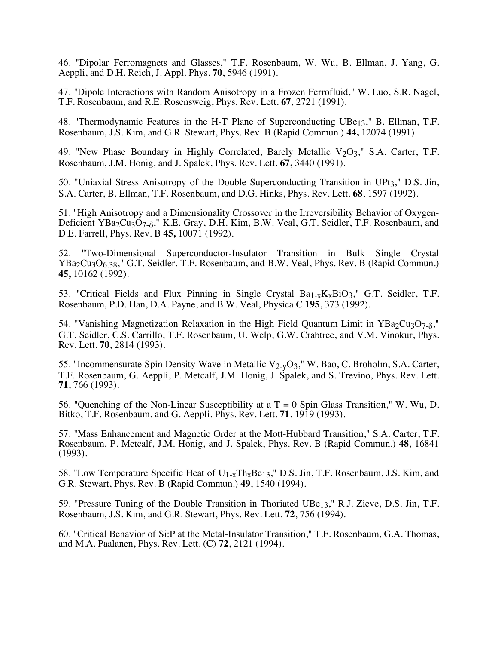46. "Dipolar Ferromagnets and Glasses," T.F. Rosenbaum, W. Wu, B. Ellman, J. Yang, G. Aeppli, and D.H. Reich, J. Appl. Phys. **70**, 5946 (1991).

47. "Dipole Interactions with Random Anisotropy in a Frozen Ferrofluid," W. Luo, S.R. Nagel, T.F. Rosenbaum, and R.E. Rosensweig, Phys. Rev. Lett. **67**, 2721 (1991).

48. "Thermodynamic Features in the H-T Plane of Superconducting UBe<sub>13</sub>," B. Ellman, T.F. Rosenbaum, J.S. Kim, and G.R. Stewart, Phys. Rev. B (Rapid Commun.) **44,** 12074 (1991).

49. "New Phase Boundary in Highly Correlated, Barely Metallic  $V_2O_3$ ," S.A. Carter, T.F. Rosenbaum, J.M. Honig, and J. Spalek, Phys. Rev. Lett. **67,** 3440 (1991).

50. "Uniaxial Stress Anisotropy of the Double Superconducting Transition in UPt3," D.S. Jin, S.A. Carter, B. Ellman, T.F. Rosenbaum, and D.G. Hinks, Phys. Rev. Lett. **68**, 1597 (1992).

51. "High Anisotropy and a Dimensionality Crossover in the Irreversibility Behavior of Oxygen-Deficient YBa2Cu3O7<sub>-8</sub>," K.E. Gray, D.H. Kim, B.W. Veal, G.T. Seidler, T.F. Rosenbaum, and D.E. Farrell, Phys. Rev. B **45,** 10071 (1992).

52. "Two-Dimensional Superconductor-Insulator Transition in Bulk Single Crystal YBa<sub>2</sub>Cu<sub>3</sub>O<sub>6.38</sub>," G.T. Seidler, T.F. Rosenbaum, and B.W. Veal, Phys. Rev. B (Rapid Commun.) **45,** 10162 (1992).

53. "Critical Fields and Flux Pinning in Single Crystal  $Ba_{1-x}K_xBiO_3$ ," G.T. Seidler, T.F. Rosenbaum, P.D. Han, D.A. Payne, and B.W. Veal, Physica C **195**, 373 (1992).

54. "Vanishing Magnetization Relaxation in the High Field Quantum Limit in YBa<sub>2</sub>Cu<sub>3</sub>O<sub>7-6</sub>," G.T. Seidler, C.S. Carrillo, T.F. Rosenbaum, U. Welp, G.W. Crabtree, and V.M. Vinokur, Phys. Rev. Lett. **70**, 2814 (1993).

55. "Incommensurate Spin Density Wave in Metallic V<sub>2-y</sub>O<sub>3</sub>," W. Bao, C. Broholm, S.A. Carter, T.F. Rosenbaum, G. Aeppli, P. Metcalf, J.M. Honig, J. Spalek, and S. Trevino, Phys. Rev. Lett. **71**, 766 (1993).

56. "Quenching of the Non-Linear Susceptibility at a  $T = 0$  Spin Glass Transition," W. Wu, D. Bitko, T.F. Rosenbaum, and G. Aeppli, Phys. Rev. Lett. **71**, 1919 (1993).

57. "Mass Enhancement and Magnetic Order at the Mott-Hubbard Transition," S.A. Carter, T.F. Rosenbaum, P. Metcalf, J.M. Honig, and J. Spalek, Phys. Rev. B (Rapid Commun.) **48**, 16841 (1993).

58. "Low Temperature Specific Heat of U<sub>1-x</sub>Th<sub>x</sub>Be<sub>13</sub>," D.S. Jin, T.F. Rosenbaum, J.S. Kim, and G.R. Stewart, Phys. Rev. B (Rapid Commun.) **49**, 1540 (1994).

59. "Pressure Tuning of the Double Transition in Thoriated UBe13," R.J. Zieve, D.S. Jin, T.F. Rosenbaum, J.S. Kim, and G.R. Stewart, Phys. Rev. Lett. **72**, 756 (1994).

60. "Critical Behavior of Si:P at the Metal-Insulator Transition," T.F. Rosenbaum, G.A. Thomas, and M.A. Paalanen, Phys. Rev. Lett. (C) **72**, 2121 (1994).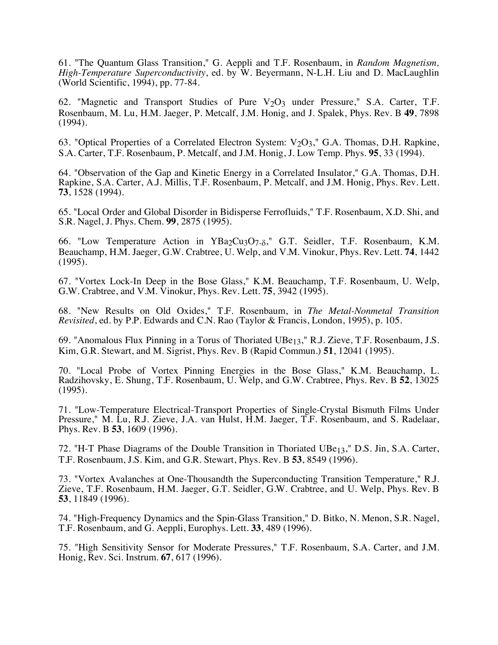61. "The Quantum Glass Transition," G. Aeppli and T.F. Rosenbaum, in *Random Magnetism, High-Temperature Superconductivity*, ed. by W. Beyermann, N-L.H. Liu and D. MacLaughlin (World Scientific, 1994), pp. 77-84.

62. "Magnetic and Transport Studies of Pure V<sub>2</sub>O<sub>3</sub> under Pressure," S.A. Carter, T.F. Rosenbaum, M. Lu, H.M. Jaeger, P. Metcalf, J.M. Honig, and J. Spalek, Phys. Rev. B **49**, 7898 (1994).

63. "Optical Properties of a Correlated Electron System:  $V<sub>2</sub>O<sub>3</sub>$ ," G.A. Thomas, D.H. Rapkine, S.A. Carter, T.F. Rosenbaum, P. Metcalf, and J.M. Honig, J. Low Temp. Phys. **95**, 33 (1994).

64. "Observation of the Gap and Kinetic Energy in a Correlated Insulator," G.A. Thomas, D.H. Rapkine, S.A. Carter, A.J. Millis, T.F. Rosenbaum, P. Metcalf, and J.M. Honig, Phys. Rev. Lett. **73**, 1528 (1994).

65. "Local Order and Global Disorder in Bidisperse Ferrofluids," T.F. Rosenbaum, X.D. Shi, and S.R. Nagel, J. Phys. Chem. **99**, 2875 (1995).

66. "Low Temperature Action in YBa<sub>2</sub>Cu<sub>3</sub>O<sub>7- $\delta$ </sub>," G.T. Seidler, T.F. Rosenbaum, K.M. Beauchamp, H.M. Jaeger, G.W. Crabtree, U. Welp, and V.M. Vinokur, Phys. Rev. Lett. **74**, 1442 (1995).

67. "Vortex Lock-In Deep in the Bose Glass," K.M. Beauchamp, T.F. Rosenbaum, U. Welp, G.W. Crabtree, and V.M. Vinokur, Phys. Rev. Lett. **75**, 3942 (1995).

68. "New Results on Old Oxides," T.F. Rosenbaum, in *The Metal-Nonmetal Transition Revisited*, ed. by P.P. Edwards and C.N. Rao (Taylor & Francis, London, 1995), p. 105.

69. "Anomalous Flux Pinning in a Torus of Thoriated UBe13," R.J. Zieve, T.F. Rosenbaum, J.S. Kim, G.R. Stewart, and M. Sigrist, Phys. Rev. B (Rapid Commun.) **51**, 12041 (1995).

70. "Local Probe of Vortex Pinning Energies in the Bose Glass," K.M. Beauchamp, L. Radzihovsky, E. Shung, T.F. Rosenbaum, U. Welp, and G.W. Crabtree, Phys. Rev. B **52**, 13025 (1995).

71. "Low-Temperature Electrical-Transport Properties of Single-Crystal Bismuth Films Under Pressure," M. Lu, R.J. Zieve, J.A. van Hulst, H.M. Jaeger, T.F. Rosenbaum, and S. Radelaar, Phys. Rev. B **53**, 1609 (1996).

72. "H-T Phase Diagrams of the Double Transition in Thoriated UBe13," D.S. Jin, S.A. Carter, T.F. Rosenbaum, J.S. Kim, and G.R. Stewart, Phys. Rev. B **53**, 8549 (1996).

73. "Vortex Avalanches at One-Thousandth the Superconducting Transition Temperature," R.J. Zieve, T.F. Rosenbaum, H.M. Jaeger, G.T. Seidler, G.W. Crabtree, and U. Welp, Phys. Rev. B **53**, 11849 (1996).

74. "High-Frequency Dynamics and the Spin-Glass Transition," D. Bitko, N. Menon, S.R. Nagel, T.F. Rosenbaum, and G. Aeppli, Europhys. Lett. **33**, 489 (1996).

75. "High Sensitivity Sensor for Moderate Pressures," T.F. Rosenbaum, S.A. Carter, and J.M. Honig, Rev. Sci. Instrum. **67**, 617 (1996).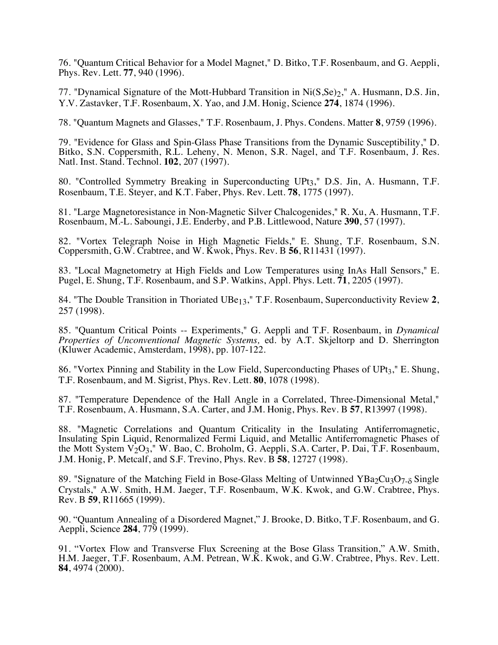76. "Quantum Critical Behavior for a Model Magnet," D. Bitko, T.F. Rosenbaum, and G. Aeppli, Phys. Rev. Lett. **77**, 940 (1996).

77. "Dynamical Signature of the Mott-Hubbard Transition in Ni(S, Se)<sub>2</sub>," A. Husmann, D.S. Jin, Y.V. Zastavker, T.F. Rosenbaum, X. Yao, and J.M. Honig, Science **274**, 1874 (1996).

78. "Quantum Magnets and Glasses," T.F. Rosenbaum, J. Phys. Condens. Matter **8**, 9759 (1996).

79. "Evidence for Glass and Spin-Glass Phase Transitions from the Dynamic Susceptibility," D. Bitko, S.N. Coppersmith, R.L. Leheny, N. Menon, S.R. Nagel, and T.F. Rosenbaum, J. Res. Natl. Inst. Stand. Technol. **102**, 207 (1997).

80. "Controlled Symmetry Breaking in Superconducting UPt3," D.S. Jin, A. Husmann, T.F. Rosenbaum, T.E. Steyer, and K.T. Faber, Phys. Rev. Lett. **78**, 1775 (1997).

81. "Large Magnetoresistance in Non-Magnetic Silver Chalcogenides," R. Xu, A. Husmann, T.F. Rosenbaum, M.-L. Saboungi, J.E. Enderby, and P.B. Littlewood, Nature **390**, 57 (1997).

82. "Vortex Telegraph Noise in High Magnetic Fields," E. Shung, T.F. Rosenbaum, S.N. Coppersmith, G.W. Crabtree, and W. Kwok, Phys. Rev. B **56**, R11431 (1997).

83. "Local Magnetometry at High Fields and Low Temperatures using InAs Hall Sensors," E. Pugel, E. Shung, T.F. Rosenbaum, and S.P. Watkins, Appl. Phys. Lett. **71**, 2205 (1997).

84. "The Double Transition in Thoriated UBe13," T.F. Rosenbaum, Superconductivity Review **2**, 257 (1998).

85. "Quantum Critical Points -- Experiments," G. Aeppli and T.F. Rosenbaum, in *Dynamical Properties of Unconventional Magnetic Systems,* ed. by A.T. Skjeltorp and D. Sherrington (Kluwer Academic, Amsterdam, 1998), pp. 107-122.

86. "Vortex Pinning and Stability in the Low Field, Superconducting Phases of UPt3," E. Shung, T.F. Rosenbaum, and M. Sigrist, Phys. Rev. Lett. **80**, 1078 (1998).

87. "Temperature Dependence of the Hall Angle in a Correlated, Three-Dimensional Metal," T.F. Rosenbaum, A. Husmann, S.A. Carter, and J.M. Honig, Phys. Rev. B **57**, R13997 (1998).

88. "Magnetic Correlations and Quantum Criticality in the Insulating Antiferromagnetic, Insulating Spin Liquid, Renormalized Fermi Liquid, and Metallic Antiferromagnetic Phases of the Mott System  $V_2O_3$ ," W. Bao, C. Broholm, G. Aeppli, S.A. Carter, P. Dai, T.F. Rosenbaum, J.M. Honig, P. Metcalf, and S.F. Trevino, Phys. Rev. B **58**, 12727 (1998).

89. "Signature of the Matching Field in Bose-Glass Melting of Untwinned  $YBa<sub>2</sub>Cu<sub>3</sub>O<sub>7-\delta</sub>$  Single Crystals," A.W. Smith, H.M. Jaeger, T.F. Rosenbaum, W.K. Kwok, and G.W. Crabtree, Phys. Rev. B **59**, R11665 (1999).

90. "Quantum Annealing of a Disordered Magnet," J. Brooke, D. Bitko, T.F. Rosenbaum, and G. Aeppli, Science **284**, 779 (1999).

91. "Vortex Flow and Transverse Flux Screening at the Bose Glass Transition," A.W. Smith, H.M. Jaeger, T.F. Rosenbaum, A.M. Petrean, W.K. Kwok, and G.W. Crabtree, Phys. Rev. Lett. **84**, 4974 (2000).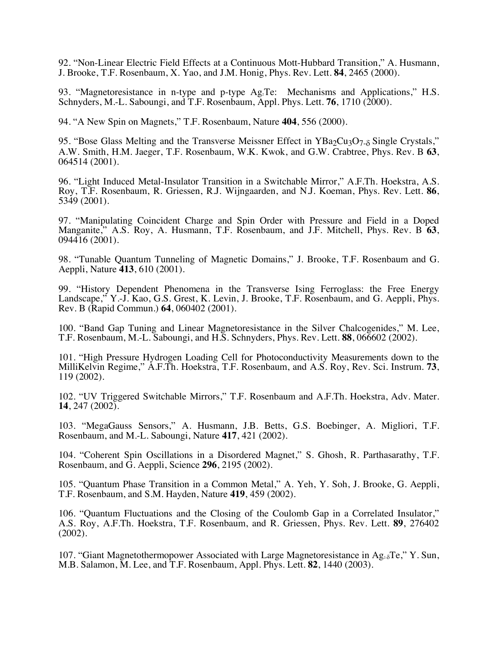92. "Non-Linear Electric Field Effects at a Continuous Mott-Hubbard Transition," A. Husmann, J. Brooke, T.F. Rosenbaum, X. Yao, and J.M. Honig, Phys. Rev. Lett. **84**, 2465 (2000).

93. "Magnetoresistance in n-type and p-type  $Ag_1Te$ : Mechanisms and Applications," H.S. Schnyders, M.-L. Saboungi, and T.F. Rosenbaum, Appl. Phys. Lett. **76**, 1710 (2000).

94. "A New Spin on Magnets," T.F. Rosenbaum, Nature **404**, 556 (2000).

95. "Bose Glass Melting and the Transverse Meissner Effect in YBa2Cu3O7<sub>-8</sub> Single Crystals," A.W. Smith, H.M. Jaeger, T.F. Rosenbaum, W.K. Kwok, and G.W. Crabtree, Phys. Rev. B **63**, 064514 (2001).

96. "Light Induced Metal-Insulator Transition in a Switchable Mirror," A.F.Th. Hoekstra, A.S. Roy, T.F. Rosenbaum, R. Griessen, R.J. Wijngaarden, and N.J. Koeman, Phys. Rev. Lett. **86**, 5349 (2001).

97. "Manipulating Coincident Charge and Spin Order with Pressure and Field in a Doped Manganite," A.S. Roy, A. Husmann, T.F. Rosenbaum, and J.F. Mitchell, Phys. Rev. B **63**, 094416 (2001).

98. "Tunable Quantum Tunneling of Magnetic Domains," J. Brooke, T.F. Rosenbaum and G. Aeppli, Nature **413**, 610 (2001).

99. "History Dependent Phenomena in the Transverse Ising Ferroglass: the Free Energy Landscape," Y.-J. Kao, G.S. Grest, K. Levin, J. Brooke, T.F. Rosenbaum, and G. Aeppli, Phys. Rev. B (Rapid Commun.) **64**, 060402 (2001).

100. "Band Gap Tuning and Linear Magnetoresistance in the Silver Chalcogenides," M. Lee, T.F. Rosenbaum, M.-L. Saboungi, and H.S. Schnyders, Phys. Rev. Lett. **88**, 066602 (2002).

101. "High Pressure Hydrogen Loading Cell for Photoconductivity Measurements down to the MilliKelvin Regime," A.F.Th. Hoekstra, T.F. Rosenbaum, and A.S. Roy, Rev. Sci. Instrum. **73**, 119 (2002).

102. "UV Triggered Switchable Mirrors," T.F. Rosenbaum and A.F.Th. Hoekstra, Adv. Mater. **14**, 247 (2002).

103. "MegaGauss Sensors," A. Husmann, J.B. Betts, G.S. Boebinger, A. Migliori, T.F. Rosenbaum, and M.-L. Saboungi, Nature **417**, 421 (2002).

104. "Coherent Spin Oscillations in a Disordered Magnet," S. Ghosh, R. Parthasarathy, T.F. Rosenbaum, and G. Aeppli, Science **296**, 2195 (2002).

105. "Quantum Phase Transition in a Common Metal," A. Yeh, Y. Soh, J. Brooke, G. Aeppli, T.F. Rosenbaum, and S.M. Hayden, Nature **419**, 459 (2002).

106. "Quantum Fluctuations and the Closing of the Coulomb Gap in a Correlated Insulator," A.S. Roy, A.F.Th. Hoekstra, T.F. Rosenbaum, and R. Griessen, Phys. Rev. Lett. **89**, 276402 (2002).

107. "Giant Magnetothermopower Associated with Large Magnetoresistance in  $Ag_{20}Te$ ," Y. Sun, M.B. Salamon, M. Lee, and T.F. Rosenbaum, Appl. Phys. Lett. **82**, 1440 (2003).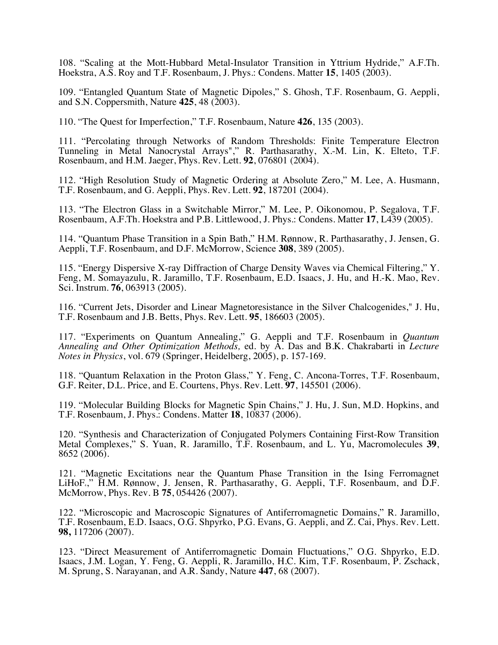108. "Scaling at the Mott-Hubbard Metal-Insulator Transition in Yttrium Hydride," A.F.Th. Hoekstra, A.S. Roy and T.F. Rosenbaum, J. Phys.: Condens. Matter **15**, 1405 (2003).

109. "Entangled Quantum State of Magnetic Dipoles," S. Ghosh, T.F. Rosenbaum, G. Aeppli, and S.N. Coppersmith, Nature **425**, 48 (2003).

110. "The Quest for Imperfection," T.F. Rosenbaum, Nature **426**, 135 (2003).

111. "Percolating through Networks of Random Thresholds: Finite Temperature Electron Tunneling in Metal Nanocrystal Arrays"," R. Parthasarathy, X.-M. Lin, K. Elteto, T.F. Rosenbaum, and H.M. Jaeger, Phys. Rev. Lett. **92**, 076801 (2004).

112. "High Resolution Study of Magnetic Ordering at Absolute Zero," M. Lee, A. Husmann, T.F. Rosenbaum, and G. Aeppli, Phys. Rev. Lett. **92**, 187201 (2004).

113. "The Electron Glass in a Switchable Mirror," M. Lee, P. Oikonomou, P. Segalova, T.F. Rosenbaum, A.F.Th. Hoekstra and P.B. Littlewood, J. Phys.: Condens. Matter **17**, L439 (2005).

114. "Quantum Phase Transition in a Spin Bath," H.M. Rønnow, R. Parthasarathy, J. Jensen, G. Aeppli, T.F. Rosenbaum, and D.F. McMorrow, Science **308**, 389 (2005).

115. "Energy Dispersive X-ray Diffraction of Charge Density Waves via Chemical Filtering," Y. Feng, M. Somayazulu, R. Jaramillo, T.F. Rosenbaum, E.D. Isaacs, J. Hu, and H.-K. Mao, Rev. Sci. Instrum. **76**, 063913 (2005).

116. "Current Jets, Disorder and Linear Magnetoresistance in the Silver Chalcogenides," J. Hu, T.F. Rosenbaum and J.B. Betts, Phys. Rev. Lett. **95**, 186603 (2005).

117. "Experiments on Quantum Annealing," G. Aeppli and T.F. Rosenbaum in *Quantum Annealing and Other Optimization Methods,* ed. by A. Das and B.K. Chakrabarti in *Lecture Notes in Physics*, vol. 679 (Springer, Heidelberg, 2005), p. 157-169.

118. "Quantum Relaxation in the Proton Glass," Y. Feng, C. Ancona-Torres, T.F. Rosenbaum, G.F. Reiter, D.L. Price, and E. Courtens, Phys. Rev. Lett. **97**, 145501 (2006).

119. "Molecular Building Blocks for Magnetic Spin Chains," J. Hu, J. Sun, M.D. Hopkins, and T.F. Rosenbaum, J. Phys.: Condens. Matter **18**, 10837 (2006).

120. "Synthesis and Characterization of Conjugated Polymers Containing First-Row Transition Metal Complexes," S. Yuan, R. Jaramillo, T.F. Rosenbaum, and L. Yu, Macromolecules **39**, 8652 (2006).

121. "Magnetic Excitations near the Quantum Phase Transition in the Ising Ferromagnet LiHoF<sub>4</sub>," H.M. Rønnow, J. Jensen, R. Parthasarathy, G. Aeppli, T.F. Rosenbaum, and D.F. McMorrow, Phys. Rev. B **75**, 054426 (2007).

122. "Microscopic and Macroscopic Signatures of Antiferromagnetic Domains," R. Jaramillo, T.F. Rosenbaum, E.D. Isaacs, O.G. Shpyrko, P.G. Evans, G. Aeppli, and Z. Cai, Phys. Rev. Lett. **98,** 117206 (2007).

123. "Direct Measurement of Antiferromagnetic Domain Fluctuations," O.G. Shpyrko, E.D. Isaacs, J.M. Logan, Y. Feng, G. Aeppli, R. Jaramillo, H.C. Kim, T.F. Rosenbaum, P. Zschack, M. Sprung, S. Narayanan, and A.R. Sandy, Nature **447**, 68 (2007).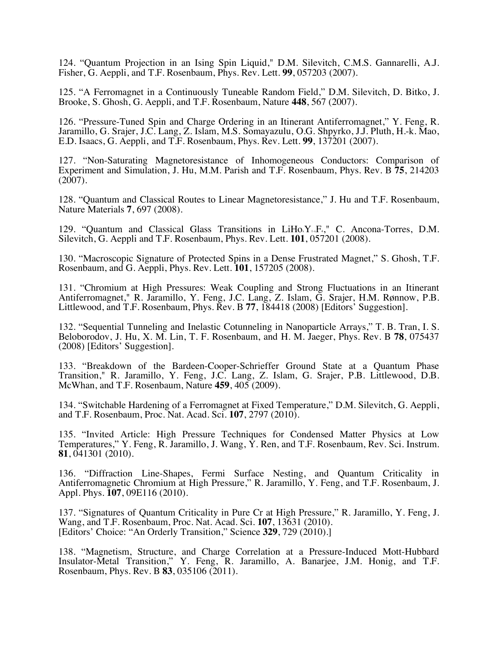124. "Quantum Projection in an Ising Spin Liquid," D.M. Silevitch, C.M.S. Gannarelli, A.J. Fisher, G. Aeppli, and T.F. Rosenbaum, Phys. Rev. Lett. **99**, 057203 (2007).

125. "A Ferromagnet in a Continuously Tuneable Random Field," D.M. Silevitch, D. Bitko, J. Brooke, S. Ghosh, G. Aeppli, and T.F. Rosenbaum, Nature **448**, 567 (2007).

126. "Pressure-Tuned Spin and Charge Ordering in an Itinerant Antiferromagnet," Y. Feng, R. Jaramillo, G. Srajer, J.C. Lang, Z. Islam, M.S. Somayazulu, O.G. Shpyrko, J.J. Pluth, H.-k. Mao, E.D. Isaacs, G. Aeppli, and T.F. Rosenbaum, Phys. Rev. Lett. **99**, 137201 (2007).

127. "Non-Saturating Magnetoresistance of Inhomogeneous Conductors: Comparison of Experiment and Simulation, J. Hu, M.M. Parish and T.F. Rosenbaum, Phys. Rev. B **75**, 214203  $(2007)$ .

128. "Quantum and Classical Routes to Linear Magnetoresistance," J. Hu and T.F. Rosenbaum, Nature Materials **7**, 697 (2008).

129. "Quantum and Classical Glass Transitions in  $LiHo<sub>x</sub>Y<sub>1,x</sub>F<sub>4</sub>$ " C. Ancona-Torres, D.M. Silevitch, G. Aeppli and T.F. Rosenbaum, Phys. Rev. Lett. **101**, 057201 (2008).

130. "Macroscopic Signature of Protected Spins in a Dense Frustrated Magnet," S. Ghosh, T.F. Rosenbaum, and G. Aeppli, Phys. Rev. Lett. **101**, 157205 (2008).

131. "Chromium at High Pressures: Weak Coupling and Strong Fluctuations in an Itinerant Antiferromagnet," R. Jaramillo, Y. Feng, J.C. Lang, Z. Islam, G. Srajer, H.M. Rønnow, P.B. Littlewood, and T.F. Rosenbaum, Phys. Rev. B **77**, 184418 (2008) [Editors' Suggestion].

132. "Sequential Tunneling and Inelastic Cotunneling in Nanoparticle Arrays," T. B. Tran, I. S. Beloborodov, J. Hu, X. M. Lin, T. F. Rosenbaum, and H. M. Jaeger, Phys. Rev. B **78**, 075437 (2008) [Editors' Suggestion].

133. "Breakdown of the Bardeen-Cooper-Schrieffer Ground State at a Quantum Phase Transition," R. Jaramillo, Y. Feng, J.C. Lang, Z. Islam, G. Srajer, P.B. Littlewood, D.B. McWhan, and T.F. Rosenbaum, Nature **459**, 405 (2009).

134. "Switchable Hardening of a Ferromagnet at Fixed Temperature," D.M. Silevitch, G. Aeppli, and T.F. Rosenbaum, Proc. Nat. Acad. Sci. **107**, 2797 (2010).

135. "Invited Article: High Pressure Techniques for Condensed Matter Physics at Low Temperatures," Y. Feng, R. Jaramillo, J. Wang, Y. Ren, and T.F. Rosenbaum, Rev. Sci. Instrum. **81**, 041301 (2010).

136. "Diffraction Line-Shapes, Fermi Surface Nesting, and Quantum Criticality in Antiferromagnetic Chromium at High Pressure," R. Jaramillo, Y. Feng, and T.F. Rosenbaum, J. Appl. Phys. **107**, 09E116 (2010).

137. "Signatures of Quantum Criticality in Pure Cr at High Pressure," R. Jaramillo, Y. Feng, J. Wang, and T.F. Rosenbaum, Proc. Nat. Acad. Sci. **107**, 13631 (2010). [Editors' Choice: "An Orderly Transition," Science **329**, 729 (2010).]

138. "Magnetism, Structure, and Charge Correlation at a Pressure-Induced Mott-Hubbard Insulator-Metal Transition," Y. Feng, R. Jaramillo, A. Banarjee, J.M. Honig, and T.F. Rosenbaum, Phys. Rev. B **83**, 035106 (2011).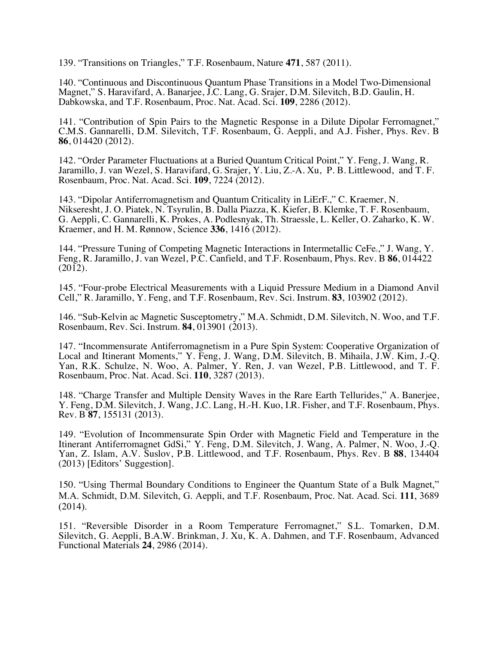139. "Transitions on Triangles," T.F. Rosenbaum, Nature **471**, 587 (2011).

140. "Continuous and Discontinuous Quantum Phase Transitions in a Model Two-Dimensional Magnet," S. Haravifard, A. Banarjee, J.C. Lang, G. Srajer, D.M. Silevitch, B.D. Gaulin, H. Dabkowska, and T.F. Rosenbaum, Proc. Nat. Acad. Sci. **109**, 2286 (2012).

141. "Contribution of Spin Pairs to the Magnetic Response in a Dilute Dipolar Ferromagnet," C.M.S. Gannarelli, D.M. Silevitch, T.F. Rosenbaum, G. Aeppli, and A.J. Fisher, Phys. Rev. B **86**, 014420 (2012).

142. "Order Parameter Fluctuations at a Buried Quantum Critical Point," Y. Feng, J. Wang, R. Jaramillo, J. van Wezel, S. Haravifard, G. Srajer, Y. Liu, Z.-A. Xu, P. B. Littlewood, and T. F. Rosenbaum, Proc. Nat. Acad. Sci. **109**, 7224 (2012).

143. "Dipolar Antiferromagnetism and Quantum Criticality in LiErF<sub>4</sub>," C. Kraemer, N. Nikseresht, J. O. Piatek, N. Tsyrulin, B. Dalla Piazza, K. Kiefer, B. Klemke, T. F. Rosenbaum, G. Aeppli, C. Gannarelli, K. Prokes, A. Podlesnyak, Th. Straessle, L. Keller, O. Zaharko, K. W. Kraemer, and H. M. Rønnow, Science **336**, 1416 (2012).

144. "Pressure Tuning of Competing Magnetic Interactions in Intermetallic CeFe<sub>2</sub>," J. Wang, Y. Feng, R. Jaramillo, J. van Wezel, P.C. Canfield, and T.F. Rosenbaum, Phys. Rev. B **86**, 014422  $(2012).$ 

145. "Four-probe Electrical Measurements with a Liquid Pressure Medium in a Diamond Anvil Cell," R. Jaramillo, Y. Feng, and T.F. Rosenbaum, Rev. Sci. Instrum. **83**, 103902 (2012).

146. "Sub-Kelvin ac Magnetic Susceptometry," M.A. Schmidt, D.M. Silevitch, N. Woo, and T.F. Rosenbaum, Rev. Sci. Instrum. **84**, 013901 (2013).

147. "Incommensurate Antiferromagnetism in a Pure Spin System: Cooperative Organization of Local and Itinerant Moments," Y. Feng, J. Wang, D.M. Silevitch, B. Mihaila, J.W. Kim, J.-Q. Yan, R.K. Schulze, N. Woo, A. Palmer, Y. Ren, J. van Wezel, P.B. Littlewood, and T. F. Rosenbaum, Proc. Nat. Acad. Sci. **110**, 3287 (2013).

148. "Charge Transfer and Multiple Density Waves in the Rare Earth Tellurides," A. Banerjee, Y. Feng, D.M. Silevitch, J. Wang, J.C. Lang, H.-H. Kuo, I.R. Fisher, and T.F. Rosenbaum, Phys. Rev. B **87**, 155131 (2013).

149. "Evolution of Incommensurate Spin Order with Magnetic Field and Temperature in the Itinerant Antiferromagnet GdSi," Y. Feng, D.M. Silevitch, J. Wang, A. Palmer, N. Woo, J.-Q. Yan, Z. Islam, A.V. Suslov, P.B. Littlewood, and T.F. Rosenbaum, Phys. Rev. B **88**, 134404 (2013) [Editors' Suggestion].

150. "Using Thermal Boundary Conditions to Engineer the Quantum State of a Bulk Magnet," M.A. Schmidt, D.M. Silevitch, G. Aeppli, and T.F. Rosenbaum, Proc. Nat. Acad. Sci. **111**, 3689 (2014).

151. "Reversible Disorder in a Room Temperature Ferromagnet," S.L. Tomarken, D.M. Silevitch, G. Aeppli, B.A.W. Brinkman, J. Xu, K. A. Dahmen, and T.F. Rosenbaum, Advanced Functional Materials **24**, 2986 (2014).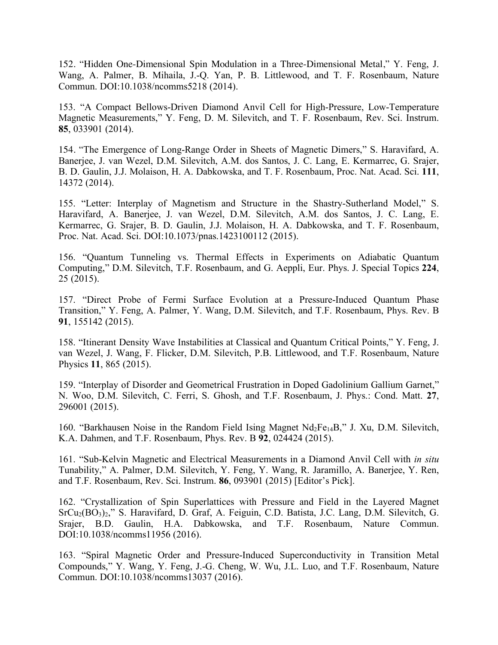152. "Hidden One-Dimensional Spin Modulation in a Three-Dimensional Metal," Y. Feng, J. Wang, A. Palmer, B. Mihaila, J.-Q. Yan, P. B. Littlewood, and T. F. Rosenbaum, Nature Commun. DOI:10.1038/ncomms5218 (2014).

153. "A Compact Bellows-Driven Diamond Anvil Cell for High-Pressure, Low-Temperature Magnetic Measurements," Y. Feng, D. M. Silevitch, and T. F. Rosenbaum, Rev. Sci. Instrum. **85**, 033901 (2014).

154. "The Emergence of Long-Range Order in Sheets of Magnetic Dimers," S. Haravifard, A. Banerjee, J. van Wezel, D.M. Silevitch, A.M. dos Santos, J. C. Lang, E. Kermarrec, G. Srajer, B. D. Gaulin, J.J. Molaison, H. A. Dabkowska, and T. F. Rosenbaum, Proc. Nat. Acad. Sci. **111**, 14372 (2014).

155. "Letter: Interplay of Magnetism and Structure in the Shastry-Sutherland Model," S. Haravifard, A. Banerjee, J. van Wezel, D.M. Silevitch, A.M. dos Santos, J. C. Lang, E. Kermarrec, G. Srajer, B. D. Gaulin, J.J. Molaison, H. A. Dabkowska, and T. F. Rosenbaum, Proc. Nat. Acad. Sci. DOI:10.1073/pnas.1423100112 (2015).

156. "Quantum Tunneling vs. Thermal Effects in Experiments on Adiabatic Quantum Computing," D.M. Silevitch, T.F. Rosenbaum, and G. Aeppli, Eur. Phys. J. Special Topics **224**, 25 (2015).

157. "Direct Probe of Fermi Surface Evolution at a Pressure-Induced Quantum Phase Transition," Y. Feng, A. Palmer, Y. Wang, D.M. Silevitch, and T.F. Rosenbaum, Phys. Rev. B **91**, 155142 (2015).

158. "Itinerant Density Wave Instabilities at Classical and Quantum Critical Points," Y. Feng, J. van Wezel, J. Wang, F. Flicker, D.M. Silevitch, P.B. Littlewood, and T.F. Rosenbaum, Nature Physics **11**, 865 (2015).

159. "Interplay of Disorder and Geometrical Frustration in Doped Gadolinium Gallium Garnet," N. Woo, D.M. Silevitch, C. Ferri, S. Ghosh, and T.F. Rosenbaum, J. Phys.: Cond. Matt. **27**, 296001 (2015).

160. "Barkhausen Noise in the Random Field Ising Magnet  $Nd_2Fe_{14}B$ ," J. Xu, D.M. Silevitch, K.A. Dahmen, and T.F. Rosenbaum, Phys. Rev. B **92**, 024424 (2015).

161. "Sub-Kelvin Magnetic and Electrical Measurements in a Diamond Anvil Cell with *in situ* Tunability," A. Palmer, D.M. Silevitch, Y. Feng, Y. Wang, R. Jaramillo, A. Banerjee, Y. Ren, and T.F. Rosenbaum, Rev. Sci. Instrum. **86**, 093901 (2015) [Editor's Pick].

162. "Crystallization of Spin Superlattices with Pressure and Field in the Layered Magnet SrCu<sub>2</sub>(BO<sub>3</sub>)<sub>2</sub>," S. Haravifard, D. Graf, A. Feiguin, C.D. Batista, J.C. Lang, D.M. Silevitch, G. Srajer, B.D. Gaulin, H.A. Dabkowska, and T.F. Rosenbaum, Nature Commun. DOI:10.1038/ncomms11956 (2016).

163. "Spiral Magnetic Order and Pressure-Induced Superconductivity in Transition Metal Compounds," Y. Wang, Y. Feng, J.-G. Cheng, W. Wu, J.L. Luo, and T.F. Rosenbaum, Nature Commun. DOI:10.1038/ncomms13037 (2016).